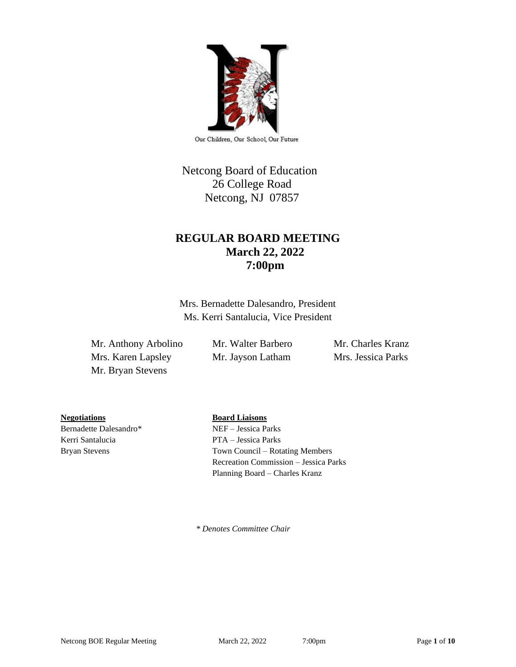

Our Children, Our School, Our Future

# Netcong Board of Education 26 College Road Netcong, NJ 07857

# **REGULAR BOARD MEETING March 22, 2022 7:00pm**

Mrs. Bernadette Dalesandro, President Ms. Kerri Santalucia, Vice President

Mr. Anthony Arbolino Mr. Walter Barbero Mr. Charles Kranz Mrs. Karen Lapsley Mr. Jayson Latham Mrs. Jessica Parks Mr. Bryan Stevens

**Negotiations Board Liaisons**

Kerri Santalucia PTA – Jessica Parks

Bernadette Dalesandro\* NEF – Jessica Parks Bryan Stevens Town Council – Rotating Members Recreation Commission – Jessica Parks Planning Board – Charles Kranz

 *\* Denotes Committee Chair*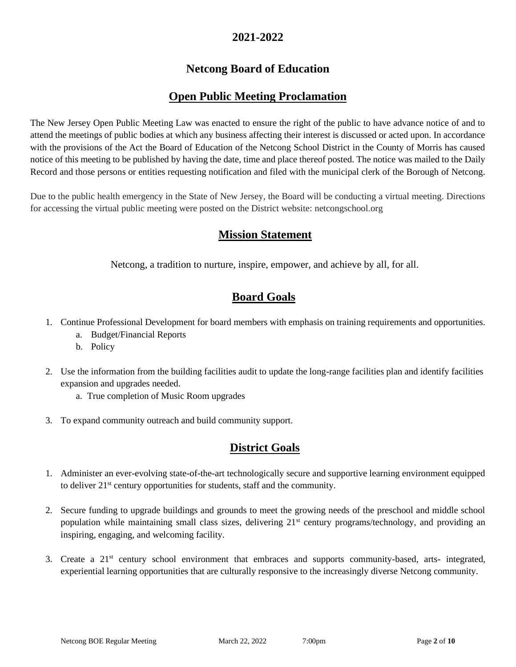## **2021-2022**

# **Netcong Board of Education**

# **Open Public Meeting Proclamation**

The New Jersey Open Public Meeting Law was enacted to ensure the right of the public to have advance notice of and to attend the meetings of public bodies at which any business affecting their interest is discussed or acted upon. In accordance with the provisions of the Act the Board of Education of the Netcong School District in the County of Morris has caused notice of this meeting to be published by having the date, time and place thereof posted. The notice was mailed to the Daily Record and those persons or entities requesting notification and filed with the municipal clerk of the Borough of Netcong.

Due to the public health emergency in the State of New Jersey, the Board will be conducting a virtual meeting. Directions for accessing the virtual public meeting were posted on the District website: netcongschool.org

## **Mission Statement**

Netcong, a tradition to nurture, inspire, empower, and achieve by all, for all.

## **Board Goals**

- 1. Continue Professional Development for board members with emphasis on training requirements and opportunities.
	- a. Budget/Financial Reports
	- b. Policy
- 2. Use the information from the building facilities audit to update the long-range facilities plan and identify facilities expansion and upgrades needed.
	- a. True completion of Music Room upgrades
- 3. To expand community outreach and build community support.

# **District Goals**

- 1. Administer an ever-evolving state-of-the-art technologically secure and supportive learning environment equipped to deliver 21st century opportunities for students, staff and the community.
- 2. Secure funding to upgrade buildings and grounds to meet the growing needs of the preschool and middle school population while maintaining small class sizes, delivering 21<sup>st</sup> century programs/technology, and providing an inspiring, engaging, and welcoming facility.
- 3. Create a 21<sup>st</sup> century school environment that embraces and supports community-based, arts- integrated, experiential learning opportunities that are culturally responsive to the increasingly diverse Netcong community.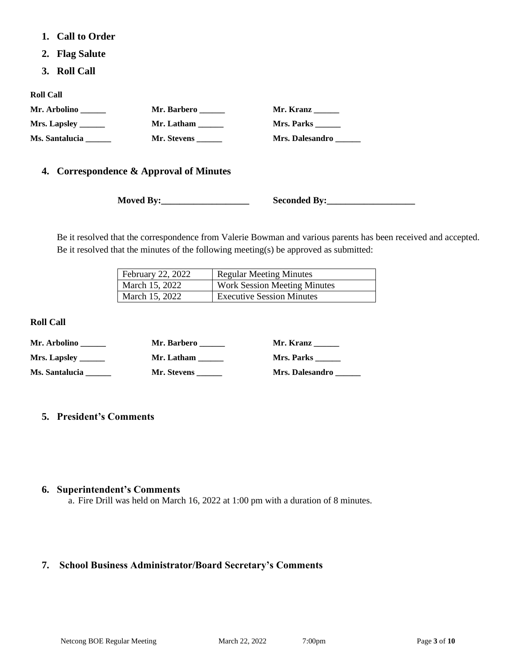- **1. Call to Order**
- **2. Flag Salute**
- **3. Roll Call**

**Roll Call**

| Mr. Arbolino          | Mr. Barbero | Mr. Kranz       |
|-----------------------|-------------|-----------------|
| Mrs. Lapsley $\_\_$   | Mr. Latham  | Mrs. Parks      |
| <b>Ms. Santalucia</b> | Mr. Stevens | Mrs. Dalesandro |

### **4. Correspondence & Approval of Minutes**

**Moved By:\_\_\_\_\_\_\_\_\_\_\_\_\_\_\_\_\_\_\_ Seconded By:\_\_\_\_\_\_\_\_\_\_\_\_\_\_\_\_\_\_\_**

Be it resolved that the correspondence from Valerie Bowman and various parents has been received and accepted. Be it resolved that the minutes of the following meeting(s) be approved as submitted:

| <b>February 22, 2022</b> | <b>Regular Meeting Minutes</b>      |
|--------------------------|-------------------------------------|
| March 15, 2022           | <b>Work Session Meeting Minutes</b> |
| March 15, 2022           | <b>Executive Session Minutes</b>    |

**Roll Call**

| Mr. Arbolino   | Mr. Barbero | Mr. Kranz       |
|----------------|-------------|-----------------|
| Mrs. Lapsley   | Mr. Latham  | Mrs. Parks      |
| Ms. Santalucia | Mr. Stevens | Mrs. Dalesandro |

### **5. President's Comments**

#### **6. Superintendent's Comments**

a. Fire Drill was held on March 16, 2022 at 1:00 pm with a duration of 8 minutes.

### **7. School Business Administrator/Board Secretary's Comments**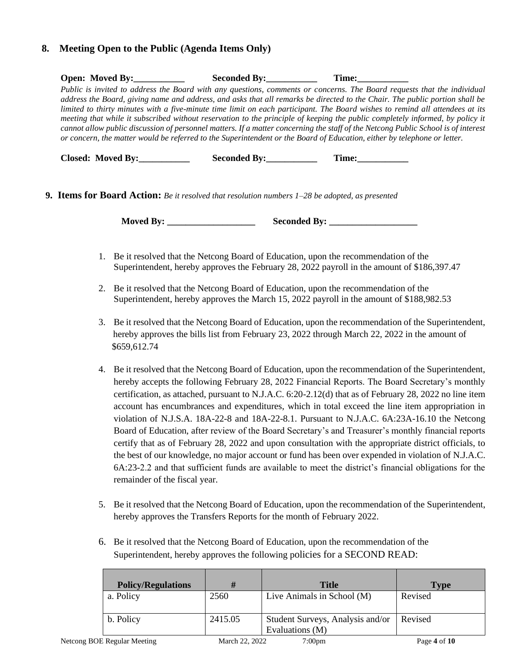### **8. Meeting Open to the Public (Agenda Items Only)**

| <b>Open: Moved By:</b> | <b>Seconded By:</b> | Time:                                                                                                                             |
|------------------------|---------------------|-----------------------------------------------------------------------------------------------------------------------------------|
|                        |                     | Public is invited to address the Board with any questions, comments or concerns. The Board requests that the individual           |
|                        |                     | address the Board, giving name and address, and asks that all remarks be directed to the Chair. The public portion shall be       |
|                        |                     | limited to thirty minutes with a five-minute time limit on each participant. The Board wishes to remind all attendees at its      |
|                        |                     | meeting that while it subscribed without reservation to the principle of keeping the public completely informed, by policy it     |
|                        |                     | cannot allow public discussion of personnel matters. If a matter concerning the staff of the Netcong Public School is of interest |
|                        |                     | or concern, the matter would be referred to the Superintendent or the Board of Education, either by telephone or letter.          |
|                        |                     |                                                                                                                                   |

 **Closed: Moved By: Seconded By: Time:** 

**9. Items for Board Action:** *Be it resolved that resolution numbers 1–28 be adopted, as presented*

**Moved By: \_\_\_\_\_\_\_\_\_\_\_\_\_\_\_\_\_\_\_ Seconded By: \_\_\_\_\_\_\_\_\_\_\_\_\_\_\_\_\_\_\_**

- 1. Be it resolved that the Netcong Board of Education, upon the recommendation of the Superintendent, hereby approves the February 28, 2022 payroll in the amount of \$186,397.47
- 2. Be it resolved that the Netcong Board of Education, upon the recommendation of the Superintendent, hereby approves the March 15, 2022 payroll in the amount of \$188,982.53
- 3. Be it resolved that the Netcong Board of Education, upon the recommendation of the Superintendent, hereby approves the bills list from February 23, 2022 through March 22, 2022 in the amount of \$659,612.74
- 4. Be it resolved that the Netcong Board of Education, upon the recommendation of the Superintendent, hereby accepts the following February 28, 2022 Financial Reports. The Board Secretary's monthly certification, as attached, pursuant to N.J.A.C. 6:20-2.12(d) that as of February 28, 2022 no line item account has encumbrances and expenditures, which in total exceed the line item appropriation in violation of N.J.S.A. 18A-22-8 and 18A-22-8.1. Pursuant to N.J.A.C. 6A:23A-16.10 the Netcong Board of Education, after review of the Board Secretary's and Treasurer's monthly financial reports certify that as of February 28, 2022 and upon consultation with the appropriate district officials, to the best of our knowledge, no major account or fund has been over expended in violation of N.J.A.C. 6A:23-2.2 and that sufficient funds are available to meet the district's financial obligations for the remainder of the fiscal year.
- 5. Be it resolved that the Netcong Board of Education, upon the recommendation of the Superintendent, hereby approves the Transfers Reports for the month of February 2022.
- 6. Be it resolved that the Netcong Board of Education, upon the recommendation of the Superintendent, hereby approves the following policies for a SECOND READ:

| <b>Policy/Regulations</b>   | #              | <b>Title</b>                                        | <b>Type</b>  |
|-----------------------------|----------------|-----------------------------------------------------|--------------|
| a. Policy                   | 2560           | Live Animals in School (M)                          | Revised      |
| b. Policy                   | 2415.05        | Student Surveys, Analysis and/or<br>Evaluations (M) | Revised      |
| Netcong BOE Regular Meeting | March 22, 2022 | 7:00 <sub>pm</sub>                                  | Page 4 of 10 |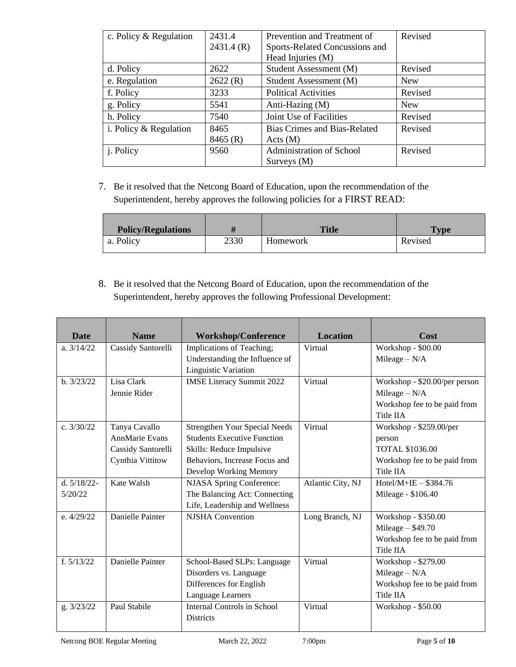| c. Policy & Regulation   | 2431.4    | Prevention and Treatment of         | Revised    |
|--------------------------|-----------|-------------------------------------|------------|
|                          | 2431.4(R) | Sports-Related Concussions and      |            |
|                          |           | Head Injuries (M)                   |            |
| d. Policy                | 2622      | Student Assessment (M)              | Revised    |
| e. Regulation            | 2622(R)   | Student Assessment (M)              | <b>New</b> |
| f. Policy                | 3233      | <b>Political Activities</b>         | Revised    |
| g. Policy                | 5541      | Anti-Hazing (M)                     | <b>New</b> |
| h. Policy                | 7540      | Joint Use of Facilities             | Revised    |
| i. Policy $&$ Regulation | 8465      | <b>Bias Crimes and Bias-Related</b> | Revised    |
|                          | 8465 (R)  | Acts(M)                             |            |
| j. Policy                | 9560      | Administration of School            | Revised    |
|                          |           | Surveys $(M)$                       |            |

7. Be it resolved that the Netcong Board of Education, upon the recommendation of the Superintendent, hereby approves the following policies for a FIRST READ:

| <b>Policy/Regulations</b> |      | <b>Title</b> | $T_{\rm vpe}$ |
|---------------------------|------|--------------|---------------|
| a. Policy                 | 2330 | Homework     | Revised       |

8. Be it resolved that the Netcong Board of Education, upon the recommendation of the Superintendent, hereby approves the following Professional Development:

| <b>Date</b>    | <b>Name</b>           | <b>Workshop/Conference</b>         | <b>Location</b>   | Cost                          |
|----------------|-----------------------|------------------------------------|-------------------|-------------------------------|
| a. $3/14/22$   | Cassidy Santorelli    | Implications of Teaching;          | Virtual           | Workshop - \$00.00            |
|                |                       | Understanding the Influence of     |                   | Mileage $-N/A$                |
|                |                       | Linguistic Variation               |                   |                               |
| b. 3/23/22     | Lisa Clark            | <b>IMSE Literacy Summit 2022</b>   | Virtual           | Workshop - \$20.00/per person |
|                | Jennie Rider          |                                    |                   | Mileage $- N/A$               |
|                |                       |                                    |                   | Workshop fee to be paid from  |
|                |                       |                                    |                   | Title IIA                     |
| c. $3/30/22$   | Tanya Cavallo         | Strengthen Your Special Needs      | Virtual           | Workshop - \$259.00/per       |
|                | <b>AnnMarie Evans</b> | <b>Students Executive Function</b> |                   | person                        |
|                | Cassidy Santorelli    | Skills: Reduce Impulsive           |                   | <b>TOTAL \$1036.00</b>        |
|                | Cynthia Vittitow      | Behaviors, Increase Focus and      |                   | Workshop fee to be paid from  |
|                |                       | Develop Working Memory             |                   | Title IIA                     |
| d. $5/18/22$ - | Kate Walsh            | <b>NJASA Spring Conference:</b>    | Atlantic City, NJ | $Hotel/M+IE - $384.76$        |
| 5/20/22        |                       | The Balancing Act: Connecting      |                   | Mileage - \$106.40            |
|                |                       | Life, Leadership and Wellness      |                   |                               |
| e. $4/29/22$ . | Danielle Painter      | <b>NJSHA</b> Convention            | Long Branch, NJ   | Workshop - \$350.00           |
|                |                       |                                    |                   | Mileage $-$ \$49.70           |
|                |                       |                                    |                   | Workshop fee to be paid from  |
|                |                       |                                    |                   | Title IIA                     |
| f. $5/13/22$   | Danielle Painter      | School-Based SLPs: Language        | Virtual           | Workshop - \$279.00           |
|                |                       | Disorders vs. Language             |                   | Mileage $- N/A$               |
|                |                       | Differences for English            |                   | Workshop fee to be paid from  |
|                |                       | Language Learners                  |                   | Title IIA                     |
| g. 3/23/22     | Paul Stabile          | Internal Controls in School        | Virtual           | Workshop - \$50.00            |
|                |                       | <b>Districts</b>                   |                   |                               |
|                |                       |                                    |                   |                               |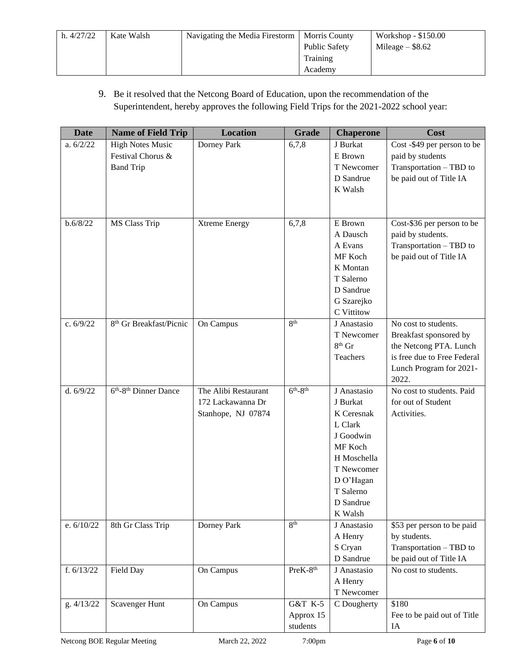| h. 4/27/22 | Kate Walsh | Navigating the Media Firestorm | <b>Morris County</b> | Workshop - \$150.00 |
|------------|------------|--------------------------------|----------------------|---------------------|
|            |            |                                | <b>Public Safety</b> | Mileage $-$ \$8.62  |
|            |            |                                | Training             |                     |
|            |            |                                | Academy              |                     |

### 9. Be it resolved that the Netcong Board of Education, upon the recommendation of the Superintendent, hereby approves the following Field Trips for the 2021-2022 school year:

| <b>Date</b>  | <b>Name of Field Trip</b>                     | <b>Location</b>      | <b>Grade</b>         | <b>Chaperone</b>      | Cost                                                                                                                           |
|--------------|-----------------------------------------------|----------------------|----------------------|-----------------------|--------------------------------------------------------------------------------------------------------------------------------|
| a. $6/2/22$  | <b>High Notes Music</b>                       | Dorney Park          | 6,7,8                | J Burkat              | Cost -\$49 per person to be                                                                                                    |
|              | Festival Chorus &                             |                      |                      | E Brown               | paid by students                                                                                                               |
|              | <b>Band Trip</b>                              |                      |                      | T Newcomer            | Transportation - TBD to                                                                                                        |
|              |                                               |                      |                      | D Sandrue             | be paid out of Title IA                                                                                                        |
|              |                                               |                      |                      | K Walsh               |                                                                                                                                |
|              |                                               |                      |                      |                       |                                                                                                                                |
|              |                                               |                      |                      |                       |                                                                                                                                |
| b.6/8/22     | <b>MS Class Trip</b>                          | <b>Xtreme Energy</b> | 6,7,8                | E Brown<br>A Dausch   | Cost-\$36 per person to be                                                                                                     |
|              |                                               |                      |                      |                       | paid by students.                                                                                                              |
|              |                                               |                      |                      | A Evans               | Transportation - TBD to                                                                                                        |
|              |                                               |                      |                      | MF Koch               | be paid out of Title IA                                                                                                        |
|              |                                               |                      |                      | K Montan<br>T Salerno |                                                                                                                                |
|              |                                               |                      |                      | D Sandrue             |                                                                                                                                |
|              |                                               |                      |                      | G Szarejko            |                                                                                                                                |
|              |                                               |                      |                      | C Vittitow            |                                                                                                                                |
| c. $6/9/22$  | 8 <sup>th</sup> Gr Breakfast/Picnic           | On Campus            | 8 <sup>th</sup>      | J Anastasio           | No cost to students.                                                                                                           |
|              |                                               |                      |                      | T Newcomer            |                                                                                                                                |
|              |                                               |                      |                      | $8^{th}$ Gr           | Breakfast sponsored by<br>the Netcong PTA. Lunch                                                                               |
|              |                                               |                      |                      | Teachers              | is free due to Free Federal                                                                                                    |
|              |                                               |                      |                      |                       | Lunch Program for 2021-                                                                                                        |
|              |                                               |                      |                      |                       | 2022.                                                                                                                          |
| d. $6/9/22$  | 6 <sup>th</sup> -8 <sup>th</sup> Dinner Dance | The Alibi Restaurant | $6th-8th$            | J Anastasio           | No cost to students. Paid                                                                                                      |
|              |                                               | 172 Lackawanna Dr    |                      | J Burkat              | for out of Student                                                                                                             |
|              |                                               | Stanhope, NJ 07874   |                      | K Ceresnak            | Activities.                                                                                                                    |
|              |                                               |                      |                      | L Clark               |                                                                                                                                |
|              |                                               |                      |                      | J Goodwin             |                                                                                                                                |
|              |                                               |                      |                      | MF Koch               |                                                                                                                                |
|              |                                               |                      |                      | H Moschella           |                                                                                                                                |
|              |                                               |                      |                      | T Newcomer            |                                                                                                                                |
|              |                                               |                      |                      | DO'Hagan              |                                                                                                                                |
|              |                                               |                      |                      | T Salerno             |                                                                                                                                |
|              |                                               |                      |                      | D Sandrue             |                                                                                                                                |
|              |                                               |                      |                      | K Walsh               |                                                                                                                                |
| e. 6/10/22   | 8th Gr Class Trip                             | Dorney Park          | 8 <sup>th</sup>      | J Anastasio           | \$53 per person to be paid                                                                                                     |
|              |                                               |                      |                      | A Henry               | by students.                                                                                                                   |
|              |                                               |                      |                      | S Cryan               | $\label{eq:transposition} \begin{minipage}{.4\linewidth} \textbf{Transportation} - \textbf{TBD} \; \textbf{to} \end{minipage}$ |
|              |                                               |                      |                      | D Sandrue             | be paid out of Title IA                                                                                                        |
| f. $6/13/22$ | Field Day                                     | On Campus            | PreK-8 <sup>th</sup> | J Anastasio           | No cost to students.                                                                                                           |
|              |                                               |                      |                      | A Henry               |                                                                                                                                |
|              |                                               |                      |                      | T Newcomer            |                                                                                                                                |
| g. 4/13/22   | Scavenger Hunt                                | On Campus            | G&T K-5              | C Dougherty           | \$180                                                                                                                          |
|              |                                               |                      | Approx 15            |                       | Fee to be paid out of Title                                                                                                    |
|              |                                               |                      | students             |                       | IA                                                                                                                             |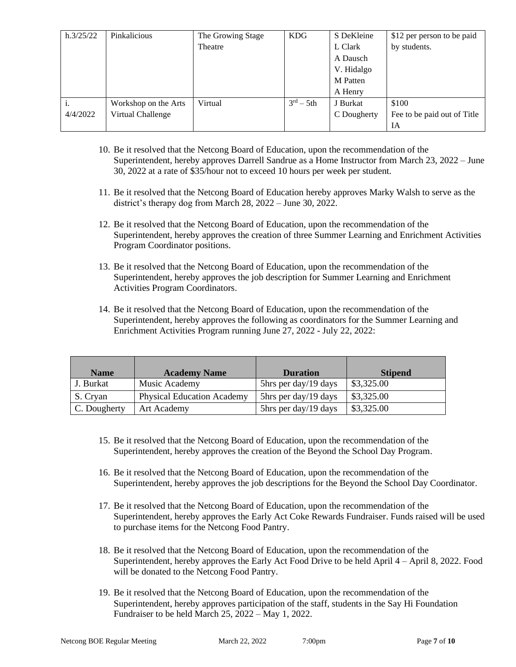| h.3/25/22 | Pinkalicious         | The Growing Stage | <b>KDG</b>             | S DeKleine  | \$12 per person to be paid  |
|-----------|----------------------|-------------------|------------------------|-------------|-----------------------------|
|           |                      | Theatre           |                        | L Clark     | by students.                |
|           |                      |                   |                        | A Dausch    |                             |
|           |                      |                   |                        | V. Hidalgo  |                             |
|           |                      |                   |                        | M Patten    |                             |
|           |                      |                   |                        | A Henry     |                             |
|           | Workshop on the Arts | Virtual           | $3^{\text{rd}} - 5$ th | J Burkat    | \$100                       |
| 4/4/2022  | Virtual Challenge    |                   |                        | C Dougherty | Fee to be paid out of Title |
|           |                      |                   |                        |             | IA                          |

- 10. Be it resolved that the Netcong Board of Education, upon the recommendation of the Superintendent, hereby approves Darrell Sandrue as a Home Instructor from March 23, 2022 – June 30, 2022 at a rate of \$35/hour not to exceed 10 hours per week per student.
- 11. Be it resolved that the Netcong Board of Education hereby approves Marky Walsh to serve as the district's therapy dog from March 28, 2022 – June 30, 2022.
- 12. Be it resolved that the Netcong Board of Education, upon the recommendation of the Superintendent, hereby approves the creation of three Summer Learning and Enrichment Activities Program Coordinator positions.
- 13. Be it resolved that the Netcong Board of Education, upon the recommendation of the Superintendent, hereby approves the job description for Summer Learning and Enrichment Activities Program Coordinators.
- 14. Be it resolved that the Netcong Board of Education, upon the recommendation of the Superintendent, hereby approves the following as coordinators for the Summer Learning and Enrichment Activities Program running June 27, 2022 - July 22, 2022:

| <b>Name</b>  | <b>Academy Name</b>               | <b>Duration</b>      | <b>Stipend</b> |
|--------------|-----------------------------------|----------------------|----------------|
| J. Burkat    | Music Academy                     | 5hrs per day/19 days | \$3,325.00     |
| S. Cryan     | <b>Physical Education Academy</b> | 5hrs per day/19 days | \$3,325.00     |
| C. Dougherty | <b>Art Academy</b>                | 5hrs per day/19 days | \$3,325.00     |

- 15. Be it resolved that the Netcong Board of Education, upon the recommendation of the Superintendent, hereby approves the creation of the Beyond the School Day Program.
- 16. Be it resolved that the Netcong Board of Education, upon the recommendation of the Superintendent, hereby approves the job descriptions for the Beyond the School Day Coordinator.
- 17. Be it resolved that the Netcong Board of Education, upon the recommendation of the Superintendent, hereby approves the Early Act Coke Rewards Fundraiser. Funds raised will be used to purchase items for the Netcong Food Pantry.
- 18. Be it resolved that the Netcong Board of Education, upon the recommendation of the Superintendent, hereby approves the Early Act Food Drive to be held April 4 – April 8, 2022. Food will be donated to the Netcong Food Pantry.
- 19. Be it resolved that the Netcong Board of Education, upon the recommendation of the Superintendent, hereby approves participation of the staff, students in the Say Hi Foundation Fundraiser to be held March 25, 2022 – May 1, 2022.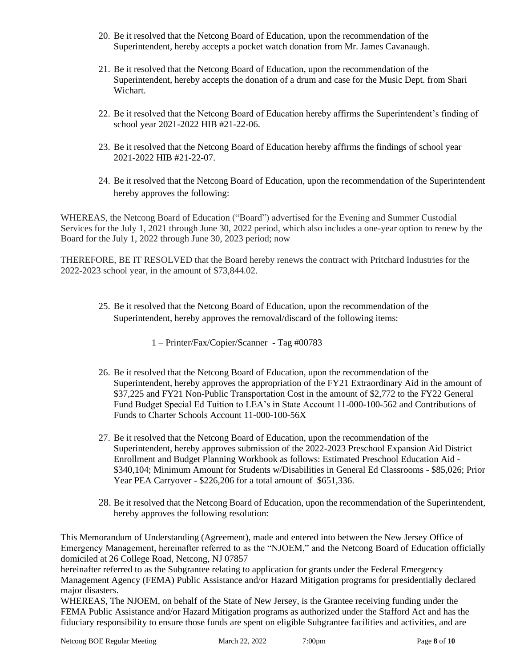- 20. Be it resolved that the Netcong Board of Education, upon the recommendation of the Superintendent, hereby accepts a pocket watch donation from Mr. James Cavanaugh.
- 21. Be it resolved that the Netcong Board of Education, upon the recommendation of the Superintendent, hereby accepts the donation of a drum and case for the Music Dept. from Shari Wichart.
- 22. Be it resolved that the Netcong Board of Education hereby affirms the Superintendent's finding of school year 2021-2022 HIB #21-22-06.
- 23. Be it resolved that the Netcong Board of Education hereby affirms the findings of school year 2021-2022 HIB #21-22-07.
- 24. Be it resolved that the Netcong Board of Education, upon the recommendation of the Superintendent hereby approves the following:

WHEREAS, the Netcong Board of Education ("Board") advertised for the Evening and Summer Custodial Services for the July 1, 2021 through June 30, 2022 period, which also includes a one-year option to renew by the Board for the July 1, 2022 through June 30, 2023 period; now

THEREFORE, BE IT RESOLVED that the Board hereby renews the contract with Pritchard Industries for the 2022-2023 school year, in the amount of \$73,844.02.

25. Be it resolved that the Netcong Board of Education, upon the recommendation of the Superintendent, hereby approves the removal/discard of the following items:

1 – Printer/Fax/Copier/Scanner - Tag #00783

- 26. Be it resolved that the Netcong Board of Education, upon the recommendation of the Superintendent, hereby approves the appropriation of the FY21 Extraordinary Aid in the amount of \$37,225 and FY21 Non-Public Transportation Cost in the amount of \$2,772 to the FY22 General Fund Budget Special Ed Tuition to LEA's in State Account 11-000-100-562 and Contributions of Funds to Charter Schools Account 11-000-100-56X
- 27. Be it resolved that the Netcong Board of Education, upon the recommendation of the Superintendent, hereby approves submission of the 2022-2023 Preschool Expansion Aid District Enrollment and Budget Planning Workbook as follows: Estimated Preschool Education Aid - \$340,104; Minimum Amount for Students w/Disabilities in General Ed Classrooms - \$85,026; Prior Year PEA Carryover - \$226,206 for a total amount of \$651,336.
- 28. Be it resolved that the Netcong Board of Education, upon the recommendation of the Superintendent, hereby approves the following resolution:

This Memorandum of Understanding (Agreement), made and entered into between the New Jersey Office of Emergency Management, hereinafter referred to as the "NJOEM," and the Netcong Board of Education officially domiciled at 26 College Road, Netcong, NJ 07857

hereinafter referred to as the Subgrantee relating to application for grants under the Federal Emergency Management Agency (FEMA) Public Assistance and/or Hazard Mitigation programs for presidentially declared major disasters.

WHEREAS, The NJOEM, on behalf of the State of New Jersey, is the Grantee receiving funding under the FEMA Public Assistance and/or Hazard Mitigation programs as authorized under the Stafford Act and has the fiduciary responsibility to ensure those funds are spent on eligible Subgrantee facilities and activities, and are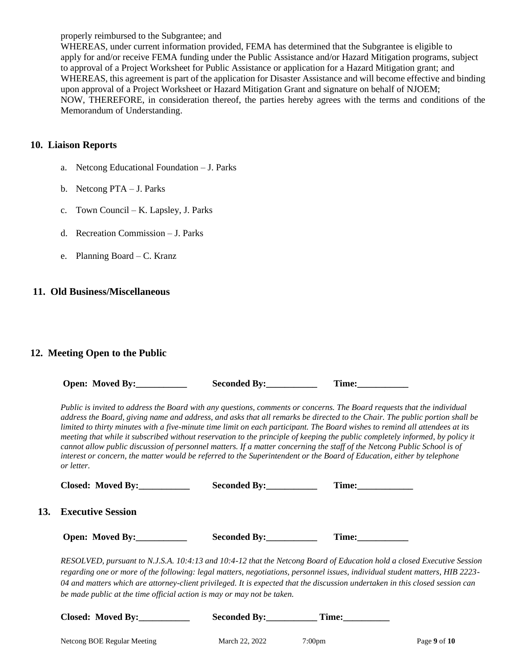properly reimbursed to the Subgrantee; and

WHEREAS, under current information provided, FEMA has determined that the Subgrantee is eligible to apply for and/or receive FEMA funding under the Public Assistance and/or Hazard Mitigation programs, subject to approval of a Project Worksheet for Public Assistance or application for a Hazard Mitigation grant; and WHEREAS, this agreement is part of the application for Disaster Assistance and will become effective and binding upon approval of a Project Worksheet or Hazard Mitigation Grant and signature on behalf of NJOEM; NOW, THEREFORE, in consideration thereof, the parties hereby agrees with the terms and conditions of the Memorandum of Understanding.

#### **10. Liaison Reports**

- a. Netcong Educational Foundation J. Parks
- b. Netcong PTA J. Parks
- c. Town Council K. Lapsley, J. Parks
- d. Recreation Commission J. Parks
- e. Planning Board C. Kranz

#### **11. Old Business/Miscellaneous**

#### **12. Meeting Open to the Public**

| <b>Open: Moved By:</b> | <b>Seconded By:</b> |        |
|------------------------|---------------------|--------|
|                        |                     | l'ime: |

*Public is invited to address the Board with any questions, comments or concerns. The Board requests that the individual address the Board, giving name and address, and asks that all remarks be directed to the Chair. The public portion shall be limited to thirty minutes with a five-minute time limit on each participant. The Board wishes to remind all attendees at its meeting that while it subscribed without reservation to the principle of keeping the public completely informed, by policy it cannot allow public discussion of personnel matters. If a matter concerning the staff of the Netcong Public School is of interest or concern, the matter would be referred to the Superintendent or the Board of Education, either by telephone or letter.*

| Closed: Moved By:     | Seconded By:                                                                                                  | Time: |
|-----------------------|---------------------------------------------------------------------------------------------------------------|-------|
| 13. Executive Session |                                                                                                               |       |
| Open: Moved By:       | Seconded By:                                                                                                  |       |
|                       | $RESOLVED$ pursuant to N LS A $10.4.13$ and $10.4.12$ that the Netcong Board of Education hold a closed Execu |       |

*RESOLVED, pursuant to N.J.S.A. 10:4:13 and 10:4-12 that the Netcong Board of Education hold a closed Executive Session regarding one or more of the following: legal matters, negotiations, personnel issues, individual student matters, HIB 2223- 04 and matters which are attorney-client privileged. It is expected that the discussion undertaken in this closed session can be made public at the time official action is may or may not be taken.*

| <b>Closed: Moved By:</b>    | <b>Seconded By:</b> | Time:              |              |
|-----------------------------|---------------------|--------------------|--------------|
| Netcong BOE Regular Meeting | March 22, 2022      | 7:00 <sub>pm</sub> | Page 9 of 10 |